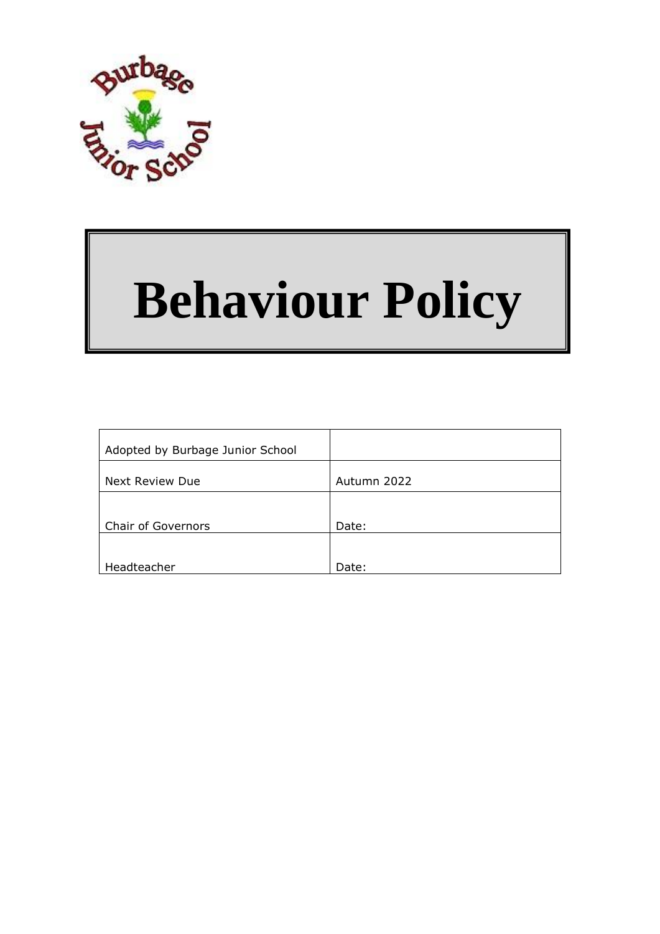

# **Behaviour Policy**

| Adopted by Burbage Junior School |             |
|----------------------------------|-------------|
| <b>Next Review Due</b>           | Autumn 2022 |
| <b>Chair of Governors</b>        | Date:       |
|                                  |             |
| Headteacher                      | Date:       |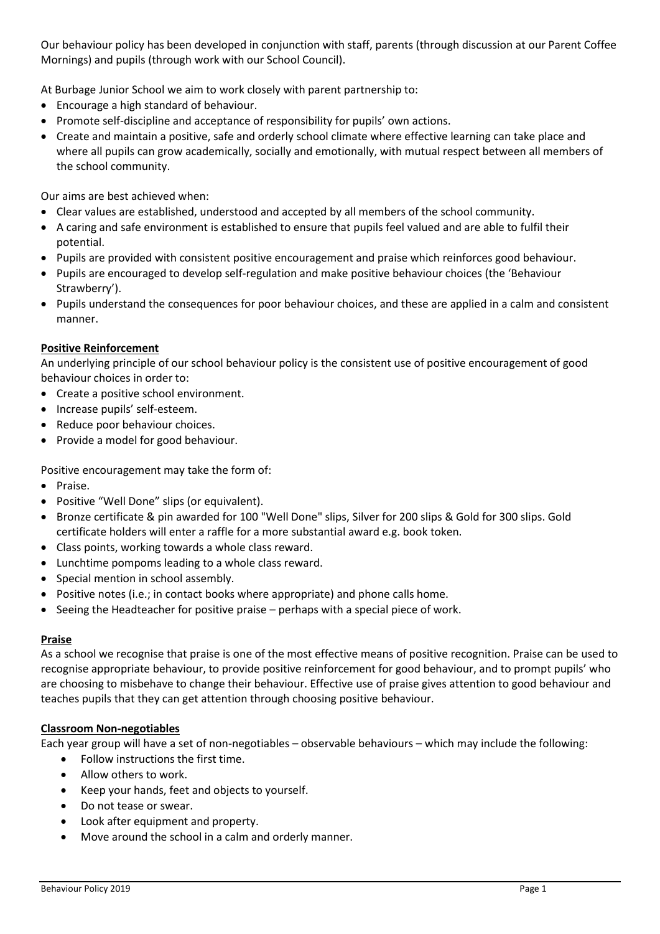Our behaviour policy has been developed in conjunction with staff, parents (through discussion at our Parent Coffee Mornings) and pupils (through work with our School Council).

At Burbage Junior School we aim to work closely with parent partnership to:

- Encourage a high standard of behaviour.
- Promote self-discipline and acceptance of responsibility for pupils' own actions.
- Create and maintain a positive, safe and orderly school climate where effective learning can take place and where all pupils can grow academically, socially and emotionally, with mutual respect between all members of the school community.

Our aims are best achieved when:

- Clear values are established, understood and accepted by all members of the school community.
- A caring and safe environment is established to ensure that pupils feel valued and are able to fulfil their potential.
- Pupils are provided with consistent positive encouragement and praise which reinforces good behaviour.
- Pupils are encouraged to develop self-regulation and make positive behaviour choices (the 'Behaviour Strawberry').
- Pupils understand the consequences for poor behaviour choices, and these are applied in a calm and consistent manner.

# **Positive Reinforcement**

An underlying principle of our school behaviour policy is the consistent use of positive encouragement of good behaviour choices in order to:

- Create a positive school environment.
- Increase pupils' self-esteem.
- Reduce poor behaviour choices.
- Provide a model for good behaviour.

Positive encouragement may take the form of:

- Praise.
- Positive "Well Done" slips (or equivalent).
- Bronze certificate & pin awarded for 100 "Well Done" slips, Silver for 200 slips & Gold for 300 slips. Gold certificate holders will enter a raffle for a more substantial award e.g. book token.
- Class points, working towards a whole class reward.
- Lunchtime pompoms leading to a whole class reward.
- Special mention in school assembly.
- $\bullet$  Positive notes (i.e.; in contact books where appropriate) and phone calls home.
- $\bullet$  Seeing the Headteacher for positive praise perhaps with a special piece of work.

# **Praise**

As a school we recognise that praise is one of the most effective means of positive recognition. Praise can be used to recognise appropriate behaviour, to provide positive reinforcement for good behaviour, and to prompt pupils' who are choosing to misbehave to change their behaviour. Effective use of praise gives attention to good behaviour and teaches pupils that they can get attention through choosing positive behaviour.

# **Classroom Non-negotiables**

Each year group will have a set of non-negotiables – observable behaviours – which may include the following:

- Follow instructions the first time.
- Allow others to work.
- Keep your hands, feet and objects to yourself.
- Do not tease or swear.
- Look after equipment and property.
- Move around the school in a calm and orderly manner.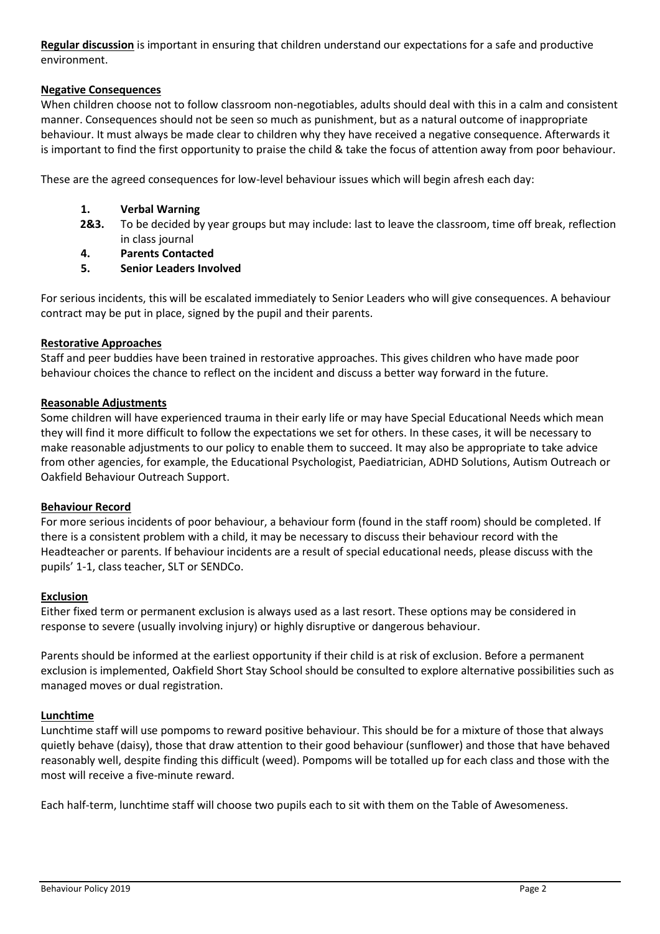**Regular discussion** is important in ensuring that children understand our expectations for a safe and productive environment.

## **Negative Consequences**

When children choose not to follow classroom non-negotiables, adults should deal with this in a calm and consistent manner. Consequences should not be seen so much as punishment, but as a natural outcome of inappropriate behaviour. It must always be made clear to children why they have received a negative consequence. Afterwards it is important to find the first opportunity to praise the child & take the focus of attention away from poor behaviour.

These are the agreed consequences for low-level behaviour issues which will begin afresh each day:

#### **1. Verbal Warning**

- **2&3.** To be decided by year groups but may include: last to leave the classroom, time off break, reflection in class journal
- **4. Parents Contacted**
- **5. Senior Leaders Involved**

For serious incidents, this will be escalated immediately to Senior Leaders who will give consequences. A behaviour contract may be put in place, signed by the pupil and their parents.

#### **Restorative Approaches**

Staff and peer buddies have been trained in restorative approaches. This gives children who have made poor behaviour choices the chance to reflect on the incident and discuss a better way forward in the future.

#### **Reasonable Adjustments**

Some children will have experienced trauma in their early life or may have Special Educational Needs which mean they will find it more difficult to follow the expectations we set for others. In these cases, it will be necessary to make reasonable adjustments to our policy to enable them to succeed. It may also be appropriate to take advice from other agencies, for example, the Educational Psychologist, Paediatrician, ADHD Solutions, Autism Outreach or Oakfield Behaviour Outreach Support.

#### **Behaviour Record**

For more serious incidents of poor behaviour, a behaviour form (found in the staff room) should be completed. If there is a consistent problem with a child, it may be necessary to discuss their behaviour record with the Headteacher or parents. If behaviour incidents are a result of special educational needs, please discuss with the pupils' 1-1, class teacher, SLT or SENDCo.

#### **Exclusion**

Either fixed term or permanent exclusion is always used as a last resort. These options may be considered in response to severe (usually involving injury) or highly disruptive or dangerous behaviour.

Parents should be informed at the earliest opportunity if their child is at risk of exclusion. Before a permanent exclusion is implemented, Oakfield Short Stay School should be consulted to explore alternative possibilities such as managed moves or dual registration.

#### **Lunchtime**

Lunchtime staff will use pompoms to reward positive behaviour. This should be for a mixture of those that always quietly behave (daisy), those that draw attention to their good behaviour (sunflower) and those that have behaved reasonably well, despite finding this difficult (weed). Pompoms will be totalled up for each class and those with the most will receive a five-minute reward.

Each half-term, lunchtime staff will choose two pupils each to sit with them on the Table of Awesomeness.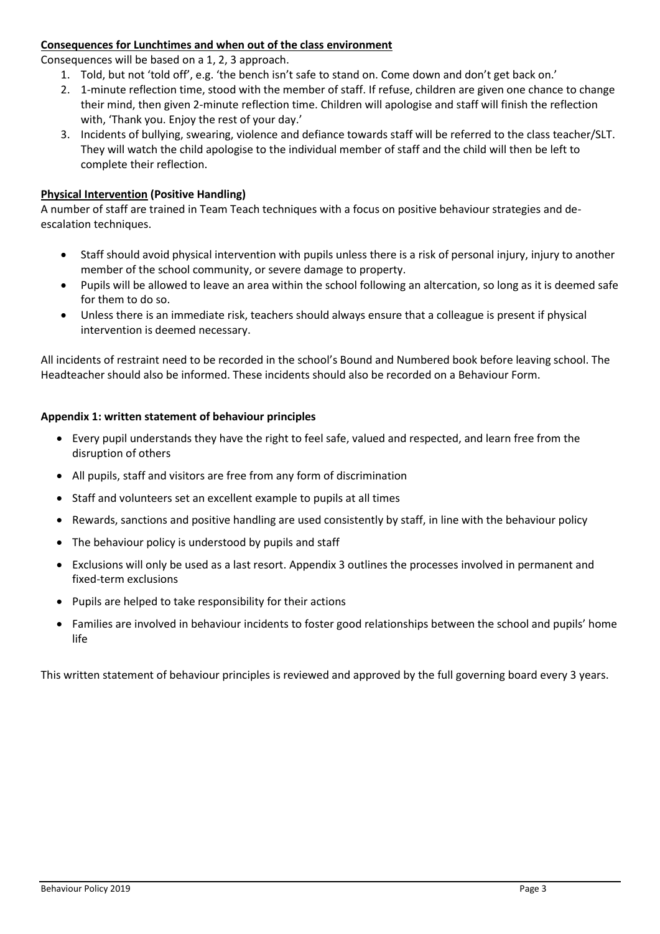## **Consequences for Lunchtimes and when out of the class environment**

Consequences will be based on a 1, 2, 3 approach.

- 1. Told, but not 'told off', e.g. 'the bench isn't safe to stand on. Come down and don't get back on.'
- 2. 1-minute reflection time, stood with the member of staff. If refuse, children are given one chance to change their mind, then given 2-minute reflection time. Children will apologise and staff will finish the reflection with, 'Thank you. Enjoy the rest of your day.'
- 3. Incidents of bullying, swearing, violence and defiance towards staff will be referred to the class teacher/SLT. They will watch the child apologise to the individual member of staff and the child will then be left to complete their reflection.

# **Physical Intervention (Positive Handling)**

A number of staff are trained in Team Teach techniques with a focus on positive behaviour strategies and deescalation techniques.

- Staff should avoid physical intervention with pupils unless there is a risk of personal injury, injury to another member of the school community, or severe damage to property.
- Pupils will be allowed to leave an area within the school following an altercation, so long as it is deemed safe for them to do so.
- Unless there is an immediate risk, teachers should always ensure that a colleague is present if physical intervention is deemed necessary.

All incidents of restraint need to be recorded in the school's Bound and Numbered book before leaving school. The Headteacher should also be informed. These incidents should also be recorded on a Behaviour Form.

#### **Appendix 1: written statement of behaviour principles**

- Every pupil understands they have the right to feel safe, valued and respected, and learn free from the disruption of others
- All pupils, staff and visitors are free from any form of discrimination
- Staff and volunteers set an excellent example to pupils at all times
- Rewards, sanctions and positive handling are used consistently by staff, in line with the behaviour policy
- The behaviour policy is understood by pupils and staff
- Exclusions will only be used as a last resort. Appendix 3 outlines the processes involved in permanent and fixed-term exclusions
- Pupils are helped to take responsibility for their actions
- Families are involved in behaviour incidents to foster good relationships between the school and pupils' home life

This written statement of behaviour principles is reviewed and approved by the full governing board every 3 years.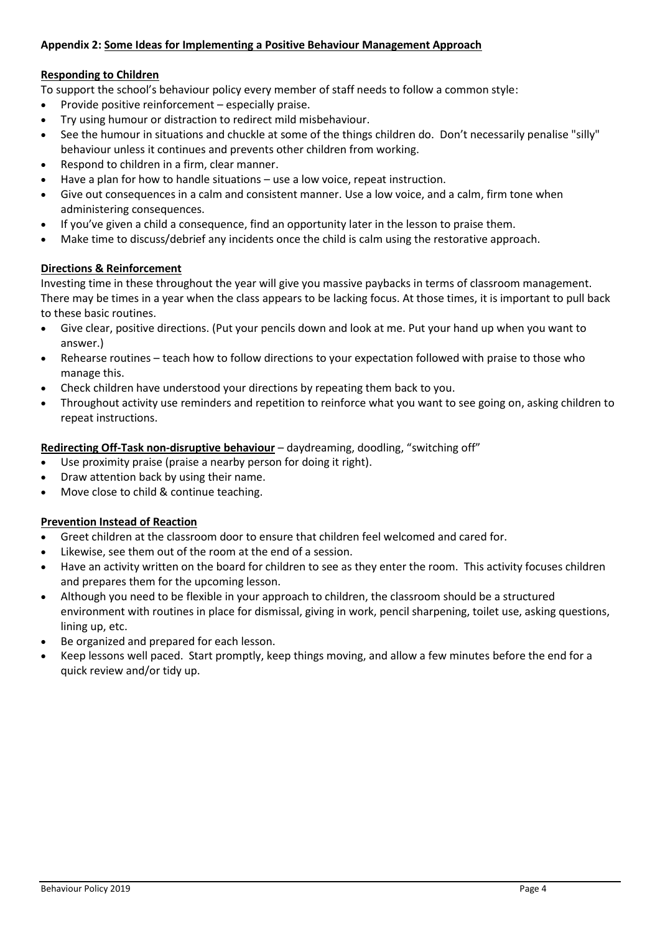## **Appendix 2: Some Ideas for Implementing a Positive Behaviour Management Approach**

# **Responding to Children**

To support the school's behaviour policy every member of staff needs to follow a common style:

- Provide positive reinforcement especially praise.
- Try using humour or distraction to redirect mild misbehaviour.
- See the humour in situations and chuckle at some of the things children do. Don't necessarily penalise "silly" behaviour unless it continues and prevents other children from working.
- Respond to children in a firm, clear manner.
- Have a plan for how to handle situations use a low voice, repeat instruction.
- Give out consequences in a calm and consistent manner. Use a low voice, and a calm, firm tone when administering consequences.
- If you've given a child a consequence, find an opportunity later in the lesson to praise them.
- Make time to discuss/debrief any incidents once the child is calm using the restorative approach.

## **Directions & Reinforcement**

Investing time in these throughout the year will give you massive paybacks in terms of classroom management. There may be times in a year when the class appears to be lacking focus. At those times, it is important to pull back to these basic routines.

- Give clear, positive directions. (Put your pencils down and look at me. Put your hand up when you want to answer.)
- Rehearse routines teach how to follow directions to your expectation followed with praise to those who manage this.
- Check children have understood your directions by repeating them back to you.
- Throughout activity use reminders and repetition to reinforce what you want to see going on, asking children to repeat instructions.

## **Redirecting Off-Task non-disruptive behaviour** – daydreaming, doodling, "switching off"

- Use proximity praise (praise a nearby person for doing it right).
- Draw attention back by using their name.
- Move close to child & continue teaching.

#### **Prevention Instead of Reaction**

- Greet children at the classroom door to ensure that children feel welcomed and cared for.
- Likewise, see them out of the room at the end of a session.
- Have an activity written on the board for children to see as they enter the room. This activity focuses children and prepares them for the upcoming lesson.
- Although you need to be flexible in your approach to children, the classroom should be a structured environment with routines in place for dismissal, giving in work, pencil sharpening, toilet use, asking questions, lining up, etc.
- Be organized and prepared for each lesson.
- Keep lessons well paced. Start promptly, keep things moving, and allow a few minutes before the end for a quick review and/or tidy up.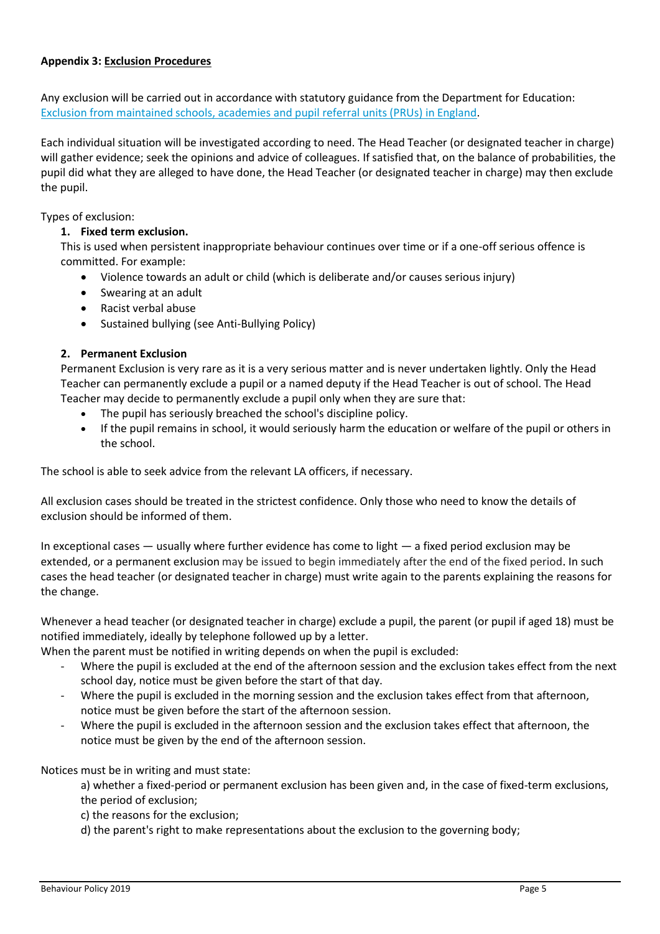# **Appendix 3: Exclusion Procedures**

Any exclusion will be carried out in accordance with statutory guidance from the Department for Education: [Exclusion from maintained schools, academies and pupil referral units \(PRUs\) in England.](https://www.gov.uk/government/publications/school-exclusion)

Each individual situation will be investigated according to need. The Head Teacher (or designated teacher in charge) will gather evidence; seek the opinions and advice of colleagues. If satisfied that, on the balance of probabilities, the pupil did what they are alleged to have done, the Head Teacher (or designated teacher in charge) may then exclude the pupil.

## Types of exclusion:

## **1. Fixed term exclusion.**

This is used when persistent inappropriate behaviour continues over time or if a one-off serious offence is committed. For example:

- Violence towards an adult or child (which is deliberate and/or causes serious injury)
- Swearing at an adult
- Racist verbal abuse
- Sustained bullying (see Anti-Bullying Policy)

## **2. Permanent Exclusion**

Permanent Exclusion is very rare as it is a very serious matter and is never undertaken lightly. Only the Head Teacher can permanently exclude a pupil or a named deputy if the Head Teacher is out of school. The Head Teacher may decide to permanently exclude a pupil only when they are sure that:

- The pupil has seriously breached the school's discipline policy.
- If the pupil remains in school, it would seriously harm the education or welfare of the pupil or others in the school.

The school is able to seek advice from the relevant LA officers, if necessary.

All exclusion cases should be treated in the strictest confidence. Only those who need to know the details of exclusion should be informed of them.

In exceptional cases — usually where further evidence has come to light — a fixed period exclusion may be extended, or a permanent exclusion may be issued to begin immediately after the end of the fixed period. In such cases the head teacher (or designated teacher in charge) must write again to the parents explaining the reasons for the change.

Whenever a head teacher (or designated teacher in charge) exclude a pupil, the parent (or pupil if aged 18) must be notified immediately, ideally by telephone followed up by a letter.

When the parent must be notified in writing depends on when the pupil is excluded:

- Where the pupil is excluded at the end of the afternoon session and the exclusion takes effect from the next school day, notice must be given before the start of that day.
- Where the pupil is excluded in the morning session and the exclusion takes effect from that afternoon, notice must be given before the start of the afternoon session.
- Where the pupil is excluded in the afternoon session and the exclusion takes effect that afternoon, the notice must be given by the end of the afternoon session.

Notices must be in writing and must state:

a) whether a fixed-period or permanent exclusion has been given and, in the case of fixed-term exclusions, the period of exclusion;

- c) the reasons for the exclusion;
- d) the parent's right to make representations about the exclusion to the governing body;